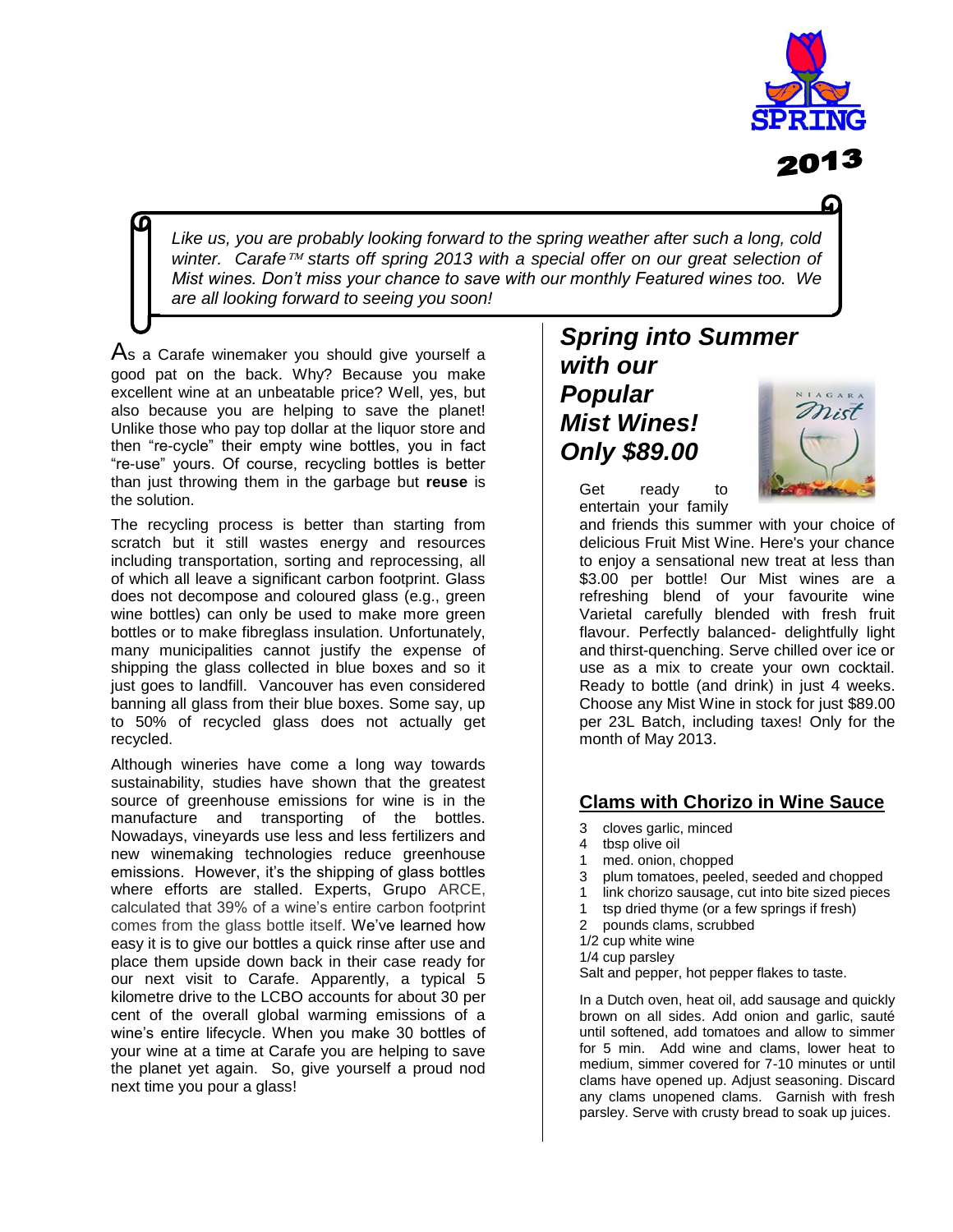

 *are all looking forward to seeing you soon!Like us, you are probably looking forward to the spring weather after such a long, cold winter. Carafe starts off spring 2013 with a special offer on our great selection of Mist wines. Don't miss your chance to save with our monthly Featured wines too. We* 

As a Carafe winemaker you should give yourself a good pat on the back. Why? Because you make excellent wine at an unbeatable price? Well, yes, but also because you are helping to save the planet! Unlike those who pay top dollar at the liquor store and then "re-cycle" their empty wine bottles, you in fact "re-use" yours. Of course, recycling bottles is better than just throwing them in the garbage but **reuse** is the solution.

The recycling process is better than starting from scratch but it still wastes energy and resources including transportation, sorting and reprocessing, all of which all leave a significant carbon footprint. Glass does not decompose and coloured glass (e.g., green wine bottles) can only be used to make more green bottles or to make fibreglass insulation. Unfortunately, many municipalities cannot justify the expense of shipping the glass collected in blue boxes and so it just goes to landfill. Vancouver has even considered banning all glass from their blue boxes. Some say, up to 50% of recycled glass does not actually get recycled.

Although wineries have come a long way towards sustainability, studies have shown that the greatest source of greenhouse emissions for wine is in the manufacture and transporting of the bottles. Nowadays, vineyards use less and less fertilizers and new winemaking technologies reduce greenhouse emissions. However, it's the shipping of glass bottles where efforts are stalled. Experts, Grupo ARCE, calculated that 39% of a wine's entire carbon footprint comes from the glass bottle itself. We've learned how easy it is to give our bottles a quick rinse after use and place them upside down back in their case ready for our next visit to Carafe. Apparently, a typical 5 kilometre drive to the LCBO accounts for about 30 per cent of the overall global warming emissions of a wine's entire lifecycle. When you make 30 bottles of your wine at a time at Carafe you are helping to save the planet yet again. So, give yourself a proud nod next time you pour a glass!

## *Spring into Summer with our Popular Mist Wines! Only \$89.00*

Get ready to entertain your family



and friends this summer with your choice of delicious Fruit Mist Wine. Here's your chance to enjoy a sensational new treat at less than \$3.00 per bottle! Our Mist wines are a refreshing blend of your favourite wine Varietal carefully blended with fresh fruit flavour. Perfectly balanced- delightfully light and thirst-quenching. Serve chilled over ice or use as a mix to create your own cocktail. Ready to bottle (and drink) in just 4 weeks. Choose any Mist Wine in stock for just \$89.00 per 23L Batch, including taxes! Only for the month of May 2013.

### **Clams with Chorizo in Wine Sauce**

- 3 cloves garlic, minced
- 4 tbsp olive oil
- 1 med. onion, chopped
- 3 plum tomatoes, peeled, seeded and chopped
- 1 link chorizo sausage, cut into bite sized pieces
- 1 tsp dried thyme (or a few springs if fresh)
- 2 pounds clams, scrubbed
- 1/2 cup white wine
- 1/4 cup parsley

Salt and pepper, hot pepper flakes to taste.

In a Dutch oven, heat oil, add sausage and quickly brown on all sides. Add onion and garlic, sauté until softened, add tomatoes and allow to simmer for 5 min. Add wine and clams, lower heat to medium, simmer covered for 7-10 minutes or until clams have opened up. Adjust seasoning. Discard any clams unopened clams. Garnish with fresh parsley. Serve with crusty bread to soak up juices.